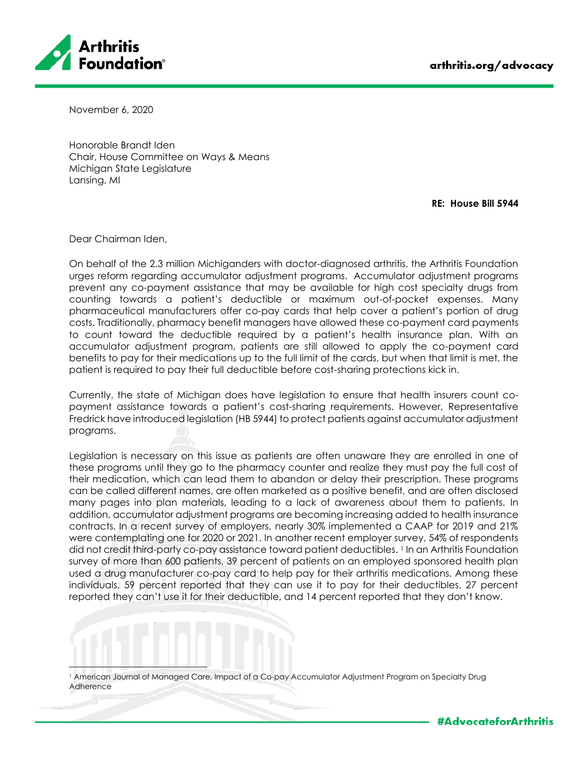

November 6, 2020

Honorable Brandt Iden Chair, House Committee on Ways & Means Michigan State Legislature Lansing, MI

**RE: House Bill 5944**

Dear Chairman Iden,

On behalf of the 2.3 million Michiganders with doctor-diagnosed arthritis, the Arthritis Foundation urges reform regarding accumulator adjustment programs. Accumulator adjustment programs prevent any co-payment assistance that may be available for high cost specialty drugs from counting towards a patient's deductible or maximum out-of-pocket expenses. Many pharmaceutical manufacturers offer co-pay cards that help cover a patient's portion of drug costs. Traditionally, pharmacy benefit managers have allowed these co-payment card payments to count toward the deductible required by a patient's health insurance plan. With an accumulator adjustment program, patients are still allowed to apply the co-payment card benefits to pay for their medications up to the full limit of the cards, but when that limit is met, the patient is required to pay their full deductible before cost-sharing protections kick in.

Currently, the state of Michigan does have legislation to ensure that health insurers count copayment assistance towards a patient's cost-sharing requirements. However, Representative Fredrick have introduced legislation (HB 5944) to protect patients against accumulator adjustment programs.

Legislation is necessary on this issue as patients are often unaware they are enrolled in one of these programs until they go to the pharmacy counter and realize they must pay the full cost of their medication, which can lead them to abandon or delay their prescription. These programs can be called different names, are often marketed as a positive benefit, and are often disclosed many pages into plan materials, leading to a lack of awareness about them to patients. In addition, accumulator adjustment programs are becoming increasing added to health insurance contracts. In a recent survey of employers, nearly 30% implemented a CAAP for 2019 and 21% were contemplating one for 2020 or 2021. In another recent employer survey, 54% of respondents did not credit third-party co-pay assistance toward patient deductibles. <sup>1</sup> In an Arthritis Foundation survey of more than 600 patients, 39 percent of patients on an employed sponsored health plan used a drug manufacturer co-pay card to help pay for their arthritis medications. Among these individuals, 59 percent reported that they can use it to pay for their deductibles, 27 percent reported they can't use it for their deductible, and 14 percent reported that they don't know.

<sup>1</sup> American Journal of Managed Care, Impact of a Co-pay Accumulator Adjustment Program on Specialty Drug Adherence